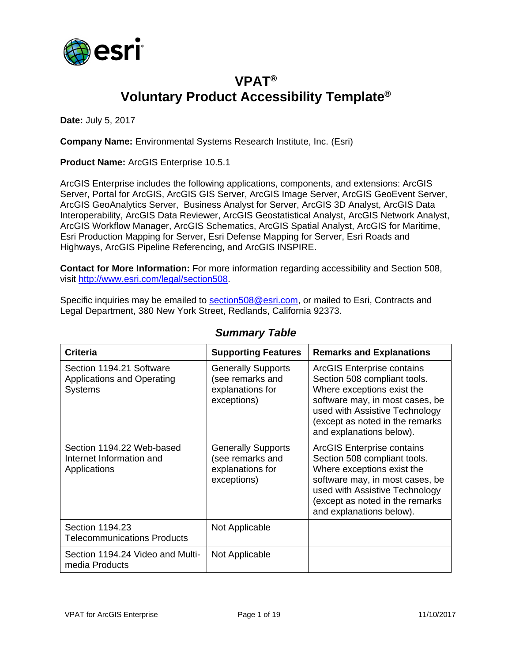

## **VPAT® Voluntary Product Accessibility Template®**

**Date:** July 5, 2017

**Company Name:** Environmental Systems Research Institute, Inc. (Esri)

**Product Name:** ArcGIS Enterprise 10.5.1

ArcGIS Enterprise includes the following applications, components, and extensions: ArcGIS Server, Portal for ArcGIS, ArcGIS GIS Server, ArcGIS Image Server, ArcGIS GeoEvent Server, ArcGIS GeoAnalytics Server, Business Analyst for Server, ArcGIS 3D Analyst, ArcGIS Data Interoperability, ArcGIS Data Reviewer, ArcGIS Geostatistical Analyst, ArcGIS Network Analyst, ArcGIS Workflow Manager, ArcGIS Schematics, ArcGIS Spatial Analyst, ArcGIS for Maritime, Esri Production Mapping for Server, Esri Defense Mapping for Server, Esri Roads and Highways, ArcGIS Pipeline Referencing, and ArcGIS INSPIRE.

**Contact for More Information:** For more information regarding accessibility and Section 508, visit [http://www.esri.com/legal/section508.](http://www.esri.com/legal/section508)

Specific inquiries may be emailed to [section508@esri.com,](mailto:section508@esri.com) or mailed to Esri, Contracts and Legal Department, 380 New York Street, Redlands, California 92373.

| <b>Criteria</b>                                                                 | <b>Supporting Features</b>                                                       | <b>Remarks and Explanations</b>                                                                                                                                                                                                     |
|---------------------------------------------------------------------------------|----------------------------------------------------------------------------------|-------------------------------------------------------------------------------------------------------------------------------------------------------------------------------------------------------------------------------------|
| Section 1194.21 Software<br><b>Applications and Operating</b><br><b>Systems</b> | <b>Generally Supports</b><br>(see remarks and<br>explanations for<br>exceptions) | <b>ArcGIS Enterprise contains</b><br>Section 508 compliant tools.<br>Where exceptions exist the<br>software may, in most cases, be<br>used with Assistive Technology<br>(except as noted in the remarks<br>and explanations below). |
| Section 1194.22 Web-based<br>Internet Information and<br>Applications           | <b>Generally Supports</b><br>(see remarks and<br>explanations for<br>exceptions) | <b>ArcGIS Enterprise contains</b><br>Section 508 compliant tools.<br>Where exceptions exist the<br>software may, in most cases, be<br>used with Assistive Technology<br>(except as noted in the remarks<br>and explanations below). |
| Section 1194.23<br><b>Telecommunications Products</b>                           | Not Applicable                                                                   |                                                                                                                                                                                                                                     |
| Section 1194.24 Video and Multi-<br>media Products                              | Not Applicable                                                                   |                                                                                                                                                                                                                                     |

#### *Summary Table*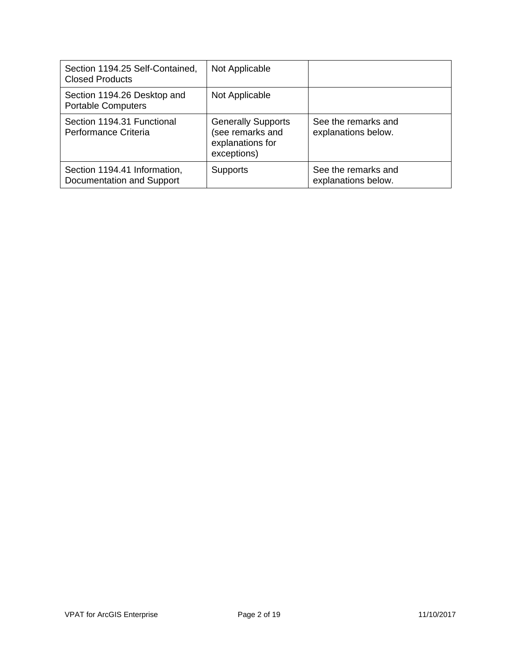| Section 1194.25 Self-Contained,<br><b>Closed Products</b> | Not Applicable                                                                   |                                            |
|-----------------------------------------------------------|----------------------------------------------------------------------------------|--------------------------------------------|
| Section 1194.26 Desktop and<br><b>Portable Computers</b>  | Not Applicable                                                                   |                                            |
| Section 1194.31 Functional<br>Performance Criteria        | <b>Generally Supports</b><br>(see remarks and<br>explanations for<br>exceptions) | See the remarks and<br>explanations below. |
| Section 1194.41 Information,<br>Documentation and Support | <b>Supports</b>                                                                  | See the remarks and<br>explanations below. |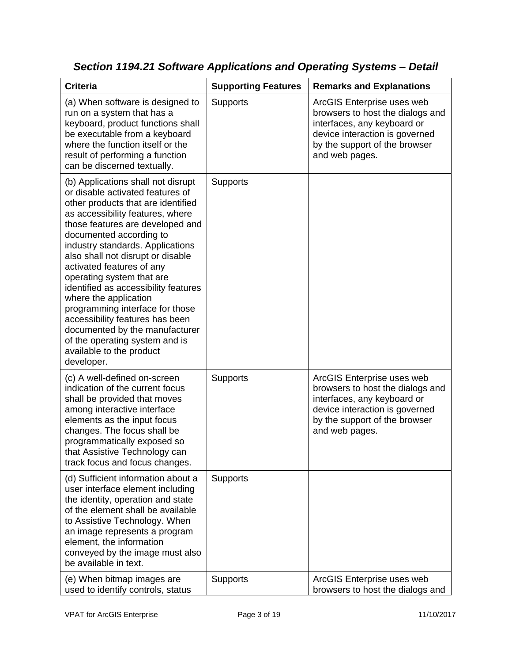| <b>Criteria</b>                                                                                                                                                                                                                                                                                                                                                                                                                                                                                                                                                                                         | <b>Supporting Features</b> | <b>Remarks and Explanations</b>                                                                                                                                                    |
|---------------------------------------------------------------------------------------------------------------------------------------------------------------------------------------------------------------------------------------------------------------------------------------------------------------------------------------------------------------------------------------------------------------------------------------------------------------------------------------------------------------------------------------------------------------------------------------------------------|----------------------------|------------------------------------------------------------------------------------------------------------------------------------------------------------------------------------|
| (a) When software is designed to<br>run on a system that has a<br>keyboard, product functions shall<br>be executable from a keyboard<br>where the function itself or the<br>result of performing a function<br>can be discerned textually.                                                                                                                                                                                                                                                                                                                                                              | Supports                   | ArcGIS Enterprise uses web<br>browsers to host the dialogs and<br>interfaces, any keyboard or<br>device interaction is governed<br>by the support of the browser<br>and web pages. |
| (b) Applications shall not disrupt<br>or disable activated features of<br>other products that are identified<br>as accessibility features, where<br>those features are developed and<br>documented according to<br>industry standards. Applications<br>also shall not disrupt or disable<br>activated features of any<br>operating system that are<br>identified as accessibility features<br>where the application<br>programming interface for those<br>accessibility features has been<br>documented by the manufacturer<br>of the operating system and is<br>available to the product<br>developer. | <b>Supports</b>            |                                                                                                                                                                                    |
| (c) A well-defined on-screen<br>indication of the current focus<br>shall be provided that moves<br>among interactive interface<br>elements as the input focus<br>changes. The focus shall be<br>programmatically exposed so<br>that Assistive Technology can<br>track focus and focus changes.                                                                                                                                                                                                                                                                                                          | <b>Supports</b>            | ArcGIS Enterprise uses web<br>browsers to host the dialogs and<br>interfaces, any keyboard or<br>device interaction is governed<br>by the support of the browser<br>and web pages. |
| (d) Sufficient information about a<br>user interface element including<br>the identity, operation and state<br>of the element shall be available<br>to Assistive Technology. When<br>an image represents a program<br>element, the information<br>conveyed by the image must also<br>be available in text.                                                                                                                                                                                                                                                                                              | <b>Supports</b>            |                                                                                                                                                                                    |
| (e) When bitmap images are<br>used to identify controls, status                                                                                                                                                                                                                                                                                                                                                                                                                                                                                                                                         | Supports                   | ArcGIS Enterprise uses web<br>browsers to host the dialogs and                                                                                                                     |

*Section 1194.21 Software Applications and Operating Systems – Detail*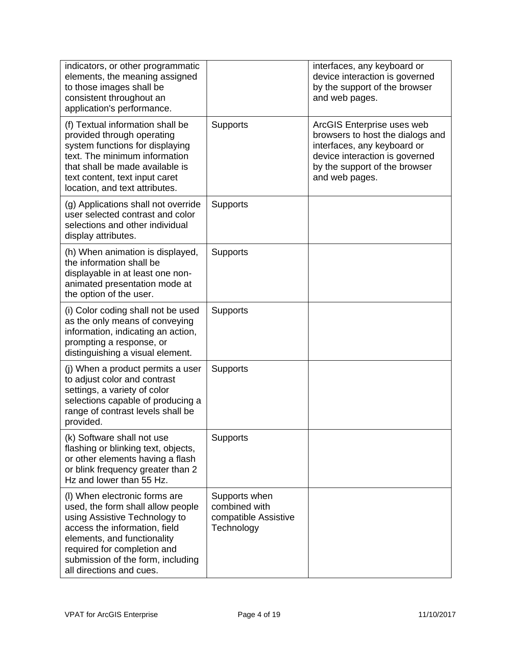| indicators, or other programmatic<br>elements, the meaning assigned<br>to those images shall be<br>consistent throughout an<br>application's performance.                                                                                                           |                                                                      | interfaces, any keyboard or<br>device interaction is governed<br>by the support of the browser<br>and web pages.                                                                   |
|---------------------------------------------------------------------------------------------------------------------------------------------------------------------------------------------------------------------------------------------------------------------|----------------------------------------------------------------------|------------------------------------------------------------------------------------------------------------------------------------------------------------------------------------|
| (f) Textual information shall be<br>provided through operating<br>system functions for displaying<br>text. The minimum information<br>that shall be made available is<br>text content, text input caret<br>location, and text attributes.                           | <b>Supports</b>                                                      | ArcGIS Enterprise uses web<br>browsers to host the dialogs and<br>interfaces, any keyboard or<br>device interaction is governed<br>by the support of the browser<br>and web pages. |
| (g) Applications shall not override<br>user selected contrast and color<br>selections and other individual<br>display attributes.                                                                                                                                   | <b>Supports</b>                                                      |                                                                                                                                                                                    |
| (h) When animation is displayed,<br>the information shall be<br>displayable in at least one non-<br>animated presentation mode at<br>the option of the user.                                                                                                        | <b>Supports</b>                                                      |                                                                                                                                                                                    |
| (i) Color coding shall not be used<br>as the only means of conveying<br>information, indicating an action,<br>prompting a response, or<br>distinguishing a visual element.                                                                                          | <b>Supports</b>                                                      |                                                                                                                                                                                    |
| (j) When a product permits a user<br>to adjust color and contrast<br>settings, a variety of color<br>selections capable of producing a<br>range of contrast levels shall be<br>provided.                                                                            | <b>Supports</b>                                                      |                                                                                                                                                                                    |
| (k) Software shall not use<br>flashing or blinking text, objects,<br>or other elements having a flash<br>or blink frequency greater than 2<br>Hz and lower than 55 Hz.                                                                                              | Supports                                                             |                                                                                                                                                                                    |
| (I) When electronic forms are<br>used, the form shall allow people<br>using Assistive Technology to<br>access the information, field<br>elements, and functionality<br>required for completion and<br>submission of the form, including<br>all directions and cues. | Supports when<br>combined with<br>compatible Assistive<br>Technology |                                                                                                                                                                                    |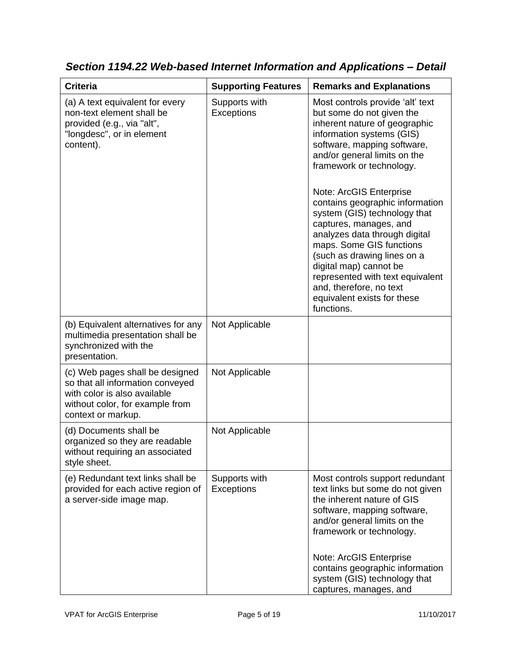| <b>Criteria</b>                                                                                                                                              | <b>Supporting Features</b>         | <b>Remarks and Explanations</b>                                                                                                                                                                                                                                                                                                                                                                                                                                                                                                                                                  |
|--------------------------------------------------------------------------------------------------------------------------------------------------------------|------------------------------------|----------------------------------------------------------------------------------------------------------------------------------------------------------------------------------------------------------------------------------------------------------------------------------------------------------------------------------------------------------------------------------------------------------------------------------------------------------------------------------------------------------------------------------------------------------------------------------|
| (a) A text equivalent for every<br>non-text element shall be<br>provided (e.g., via "alt",<br>"longdesc", or in element<br>content).                         | Supports with<br><b>Exceptions</b> | Most controls provide 'alt' text<br>but some do not given the<br>inherent nature of geographic<br>information systems (GIS)<br>software, mapping software,<br>and/or general limits on the<br>framework or technology.<br>Note: ArcGIS Enterprise<br>contains geographic information<br>system (GIS) technology that<br>captures, manages, and<br>analyzes data through digital<br>maps. Some GIS functions<br>(such as drawing lines on a<br>digital map) cannot be<br>represented with text equivalent<br>and, therefore, no text<br>equivalent exists for these<br>functions. |
| (b) Equivalent alternatives for any<br>multimedia presentation shall be<br>synchronized with the<br>presentation.                                            | Not Applicable                     |                                                                                                                                                                                                                                                                                                                                                                                                                                                                                                                                                                                  |
| (c) Web pages shall be designed<br>so that all information conveyed<br>with color is also available<br>without color, for example from<br>context or markup. | Not Applicable                     |                                                                                                                                                                                                                                                                                                                                                                                                                                                                                                                                                                                  |
| (d) Documents shall be<br>organized so they are readable<br>without requiring an associated<br>style sheet.                                                  | Not Applicable                     |                                                                                                                                                                                                                                                                                                                                                                                                                                                                                                                                                                                  |
| (e) Redundant text links shall be<br>provided for each active region of<br>a server-side image map.                                                          | Supports with<br><b>Exceptions</b> | Most controls support redundant<br>text links but some do not given<br>the inherent nature of GIS<br>software, mapping software,<br>and/or general limits on the<br>framework or technology.<br>Note: ArcGIS Enterprise<br>contains geographic information<br>system (GIS) technology that<br>captures, manages, and                                                                                                                                                                                                                                                             |

*Section 1194.22 Web-based Internet Information and Applications – Detail*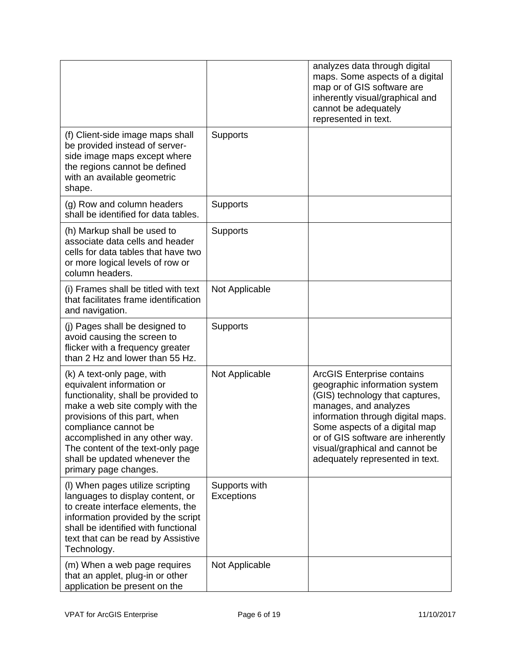|                                                                                                                                                                                                                                                                                                                             |                                    | analyzes data through digital<br>maps. Some aspects of a digital<br>map or of GIS software are<br>inherently visual/graphical and<br>cannot be adequately<br>represented in text.                                                                                                                              |
|-----------------------------------------------------------------------------------------------------------------------------------------------------------------------------------------------------------------------------------------------------------------------------------------------------------------------------|------------------------------------|----------------------------------------------------------------------------------------------------------------------------------------------------------------------------------------------------------------------------------------------------------------------------------------------------------------|
| (f) Client-side image maps shall<br>be provided instead of server-<br>side image maps except where<br>the regions cannot be defined<br>with an available geometric<br>shape.                                                                                                                                                | <b>Supports</b>                    |                                                                                                                                                                                                                                                                                                                |
| (g) Row and column headers<br>shall be identified for data tables.                                                                                                                                                                                                                                                          | <b>Supports</b>                    |                                                                                                                                                                                                                                                                                                                |
| (h) Markup shall be used to<br>associate data cells and header<br>cells for data tables that have two<br>or more logical levels of row or<br>column headers.                                                                                                                                                                | <b>Supports</b>                    |                                                                                                                                                                                                                                                                                                                |
| (i) Frames shall be titled with text<br>that facilitates frame identification<br>and navigation.                                                                                                                                                                                                                            | Not Applicable                     |                                                                                                                                                                                                                                                                                                                |
| (j) Pages shall be designed to<br>avoid causing the screen to<br>flicker with a frequency greater<br>than 2 Hz and lower than 55 Hz.                                                                                                                                                                                        | <b>Supports</b>                    |                                                                                                                                                                                                                                                                                                                |
| (k) A text-only page, with<br>equivalent information or<br>functionality, shall be provided to<br>make a web site comply with the<br>provisions of this part, when<br>compliance cannot be<br>accomplished in any other way.<br>The content of the text-only page<br>shall be updated whenever the<br>primary page changes. | Not Applicable                     | <b>ArcGIS Enterprise contains</b><br>geographic information system<br>(GIS) technology that captures,<br>manages, and analyzes<br>information through digital maps.<br>Some aspects of a digital map<br>or of GIS software are inherently<br>visual/graphical and cannot be<br>adequately represented in text. |
| (I) When pages utilize scripting<br>languages to display content, or<br>to create interface elements, the<br>information provided by the script<br>shall be identified with functional<br>text that can be read by Assistive<br>Technology.                                                                                 | Supports with<br><b>Exceptions</b> |                                                                                                                                                                                                                                                                                                                |
| (m) When a web page requires<br>that an applet, plug-in or other<br>application be present on the                                                                                                                                                                                                                           | Not Applicable                     |                                                                                                                                                                                                                                                                                                                |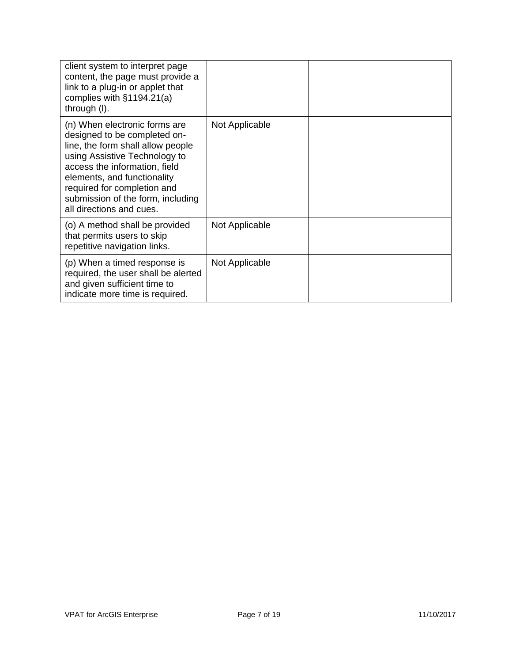| client system to interpret page<br>content, the page must provide a<br>link to a plug-in or applet that<br>complies with $§1194.21(a)$<br>through (I).                                                                                                                                              |                |  |
|-----------------------------------------------------------------------------------------------------------------------------------------------------------------------------------------------------------------------------------------------------------------------------------------------------|----------------|--|
| (n) When electronic forms are<br>designed to be completed on-<br>line, the form shall allow people<br>using Assistive Technology to<br>access the information, field<br>elements, and functionality<br>required for completion and<br>submission of the form, including<br>all directions and cues. | Not Applicable |  |
| (o) A method shall be provided<br>that permits users to skip<br>repetitive navigation links.                                                                                                                                                                                                        | Not Applicable |  |
| (p) When a timed response is<br>required, the user shall be alerted<br>and given sufficient time to<br>indicate more time is required.                                                                                                                                                              | Not Applicable |  |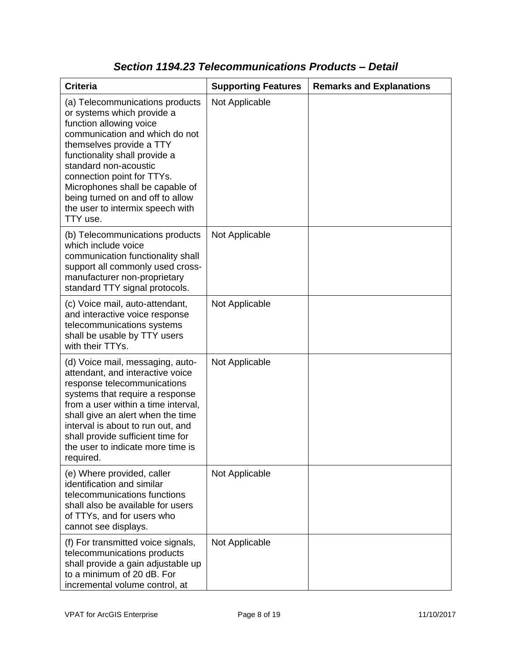| <b>Criteria</b>                                                                                                                                                                                                                                                                                                                                                       | <b>Supporting Features</b> | <b>Remarks and Explanations</b> |
|-----------------------------------------------------------------------------------------------------------------------------------------------------------------------------------------------------------------------------------------------------------------------------------------------------------------------------------------------------------------------|----------------------------|---------------------------------|
| (a) Telecommunications products<br>or systems which provide a<br>function allowing voice<br>communication and which do not<br>themselves provide a TTY<br>functionality shall provide a<br>standard non-acoustic<br>connection point for TTYs.<br>Microphones shall be capable of<br>being turned on and off to allow<br>the user to intermix speech with<br>TTY use. | Not Applicable             |                                 |
| (b) Telecommunications products<br>which include voice<br>communication functionality shall<br>support all commonly used cross-<br>manufacturer non-proprietary<br>standard TTY signal protocols.                                                                                                                                                                     | Not Applicable             |                                 |
| (c) Voice mail, auto-attendant,<br>and interactive voice response<br>telecommunications systems<br>shall be usable by TTY users<br>with their TTYs.                                                                                                                                                                                                                   | Not Applicable             |                                 |
| (d) Voice mail, messaging, auto-<br>attendant, and interactive voice<br>response telecommunications<br>systems that require a response<br>from a user within a time interval,<br>shall give an alert when the time<br>interval is about to run out, and<br>shall provide sufficient time for<br>the user to indicate more time is<br>required.                        | Not Applicable             |                                 |
| (e) Where provided, caller<br>identification and similar<br>telecommunications functions<br>shall also be available for users<br>of TTYs, and for users who<br>cannot see displays.                                                                                                                                                                                   | Not Applicable             |                                 |
| (f) For transmitted voice signals,<br>telecommunications products<br>shall provide a gain adjustable up<br>to a minimum of 20 dB. For<br>incremental volume control, at                                                                                                                                                                                               | Not Applicable             |                                 |

### *Section 1194.23 Telecommunications Products – Detail*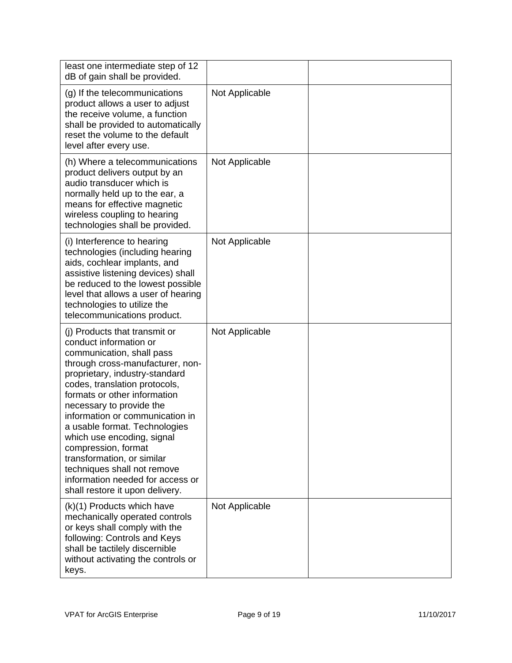| least one intermediate step of 12<br>dB of gain shall be provided.                                                                                                                                                                                                                                                                                                                                                                                                                                                   |                |  |
|----------------------------------------------------------------------------------------------------------------------------------------------------------------------------------------------------------------------------------------------------------------------------------------------------------------------------------------------------------------------------------------------------------------------------------------------------------------------------------------------------------------------|----------------|--|
| (g) If the telecommunications<br>product allows a user to adjust<br>the receive volume, a function<br>shall be provided to automatically<br>reset the volume to the default<br>level after every use.                                                                                                                                                                                                                                                                                                                | Not Applicable |  |
| (h) Where a telecommunications<br>product delivers output by an<br>audio transducer which is<br>normally held up to the ear, a<br>means for effective magnetic<br>wireless coupling to hearing<br>technologies shall be provided.                                                                                                                                                                                                                                                                                    | Not Applicable |  |
| (i) Interference to hearing<br>technologies (including hearing<br>aids, cochlear implants, and<br>assistive listening devices) shall<br>be reduced to the lowest possible<br>level that allows a user of hearing<br>technologies to utilize the<br>telecommunications product.                                                                                                                                                                                                                                       | Not Applicable |  |
| (i) Products that transmit or<br>conduct information or<br>communication, shall pass<br>through cross-manufacturer, non-<br>proprietary, industry-standard<br>codes, translation protocols,<br>formats or other information<br>necessary to provide the<br>information or communication in<br>a usable format. Technologies<br>which use encoding, signal<br>compression, format<br>transformation, or similar<br>techniques shall not remove<br>information needed for access or<br>shall restore it upon delivery. | Not Applicable |  |
| (k)(1) Products which have<br>mechanically operated controls<br>or keys shall comply with the<br>following: Controls and Keys<br>shall be tactilely discernible<br>without activating the controls or<br>keys.                                                                                                                                                                                                                                                                                                       | Not Applicable |  |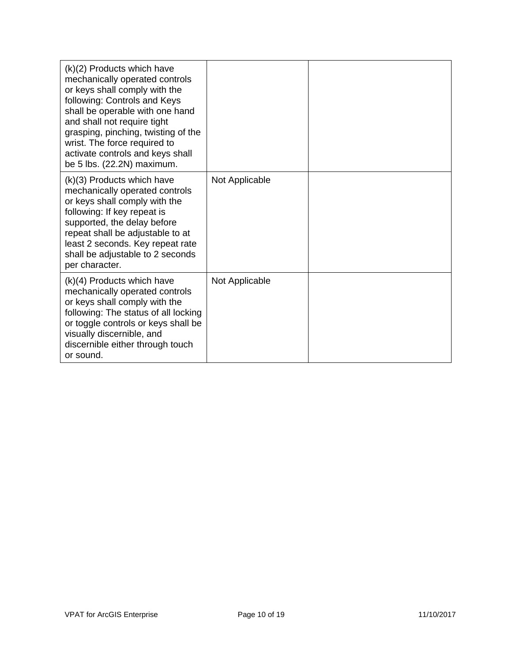| $(k)(2)$ Products which have<br>mechanically operated controls<br>or keys shall comply with the<br>following: Controls and Keys<br>shall be operable with one hand<br>and shall not require tight<br>grasping, pinching, twisting of the<br>wrist. The force required to<br>activate controls and keys shall<br>be 5 lbs. (22.2N) maximum. |                |  |
|--------------------------------------------------------------------------------------------------------------------------------------------------------------------------------------------------------------------------------------------------------------------------------------------------------------------------------------------|----------------|--|
| $(k)(3)$ Products which have<br>mechanically operated controls<br>or keys shall comply with the<br>following: If key repeat is<br>supported, the delay before<br>repeat shall be adjustable to at<br>least 2 seconds. Key repeat rate<br>shall be adjustable to 2 seconds<br>per character.                                                | Not Applicable |  |
| $(k)(4)$ Products which have<br>mechanically operated controls<br>or keys shall comply with the<br>following: The status of all locking<br>or toggle controls or keys shall be<br>visually discernible, and<br>discernible either through touch<br>or sound.                                                                               | Not Applicable |  |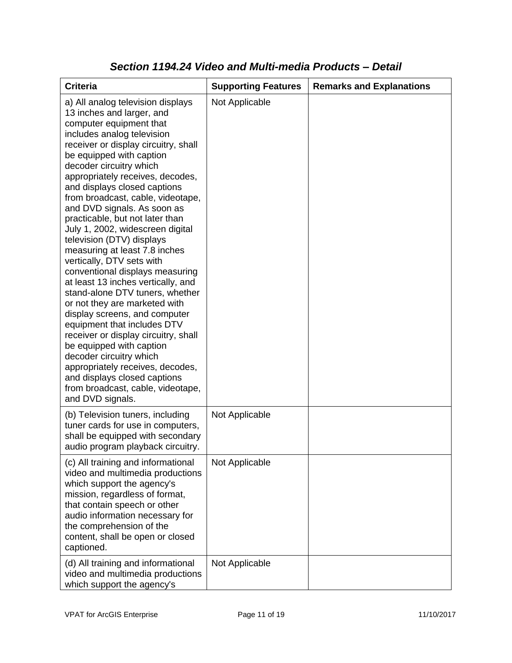| <b>Criteria</b>                                                                                                                                                                                                                                                                                                                                                                                                                                                                                                                                                                                                                                                                                                                                                                                                                                                                                                                                                           | <b>Supporting Features</b> | <b>Remarks and Explanations</b> |
|---------------------------------------------------------------------------------------------------------------------------------------------------------------------------------------------------------------------------------------------------------------------------------------------------------------------------------------------------------------------------------------------------------------------------------------------------------------------------------------------------------------------------------------------------------------------------------------------------------------------------------------------------------------------------------------------------------------------------------------------------------------------------------------------------------------------------------------------------------------------------------------------------------------------------------------------------------------------------|----------------------------|---------------------------------|
| a) All analog television displays<br>13 inches and larger, and<br>computer equipment that<br>includes analog television<br>receiver or display circuitry, shall<br>be equipped with caption<br>decoder circuitry which<br>appropriately receives, decodes,<br>and displays closed captions<br>from broadcast, cable, videotape,<br>and DVD signals. As soon as<br>practicable, but not later than<br>July 1, 2002, widescreen digital<br>television (DTV) displays<br>measuring at least 7.8 inches<br>vertically, DTV sets with<br>conventional displays measuring<br>at least 13 inches vertically, and<br>stand-alone DTV tuners, whether<br>or not they are marketed with<br>display screens, and computer<br>equipment that includes DTV<br>receiver or display circuitry, shall<br>be equipped with caption<br>decoder circuitry which<br>appropriately receives, decodes,<br>and displays closed captions<br>from broadcast, cable, videotape,<br>and DVD signals. | Not Applicable             |                                 |
| (b) Television tuners, including<br>tuner cards for use in computers,<br>shall be equipped with secondary<br>audio program playback circuitry.                                                                                                                                                                                                                                                                                                                                                                                                                                                                                                                                                                                                                                                                                                                                                                                                                            | Not Applicable             |                                 |
| (c) All training and informational<br>video and multimedia productions<br>which support the agency's<br>mission, regardless of format,<br>that contain speech or other<br>audio information necessary for<br>the comprehension of the<br>content, shall be open or closed<br>captioned.                                                                                                                                                                                                                                                                                                                                                                                                                                                                                                                                                                                                                                                                                   | Not Applicable             |                                 |
| (d) All training and informational<br>video and multimedia productions<br>which support the agency's                                                                                                                                                                                                                                                                                                                                                                                                                                                                                                                                                                                                                                                                                                                                                                                                                                                                      | Not Applicable             |                                 |

#### *Section 1194.24 Video and Multi-media Products – Detail*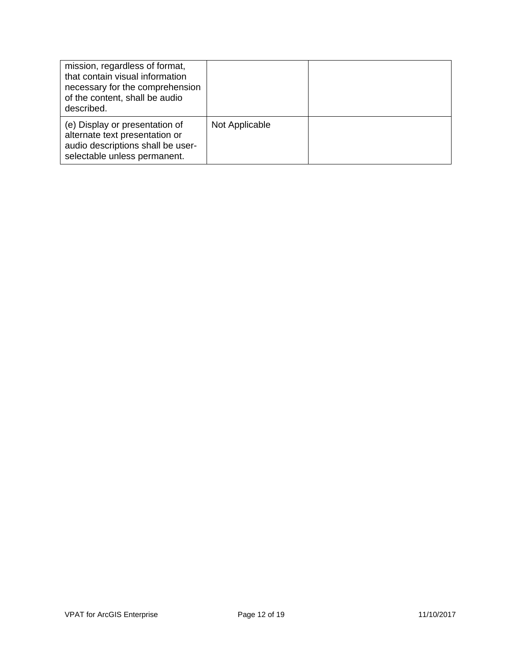| mission, regardless of format,<br>that contain visual information<br>necessary for the comprehension<br>of the content, shall be audio<br>described. |                |  |
|------------------------------------------------------------------------------------------------------------------------------------------------------|----------------|--|
| (e) Display or presentation of<br>alternate text presentation or<br>audio descriptions shall be user-<br>selectable unless permanent.                | Not Applicable |  |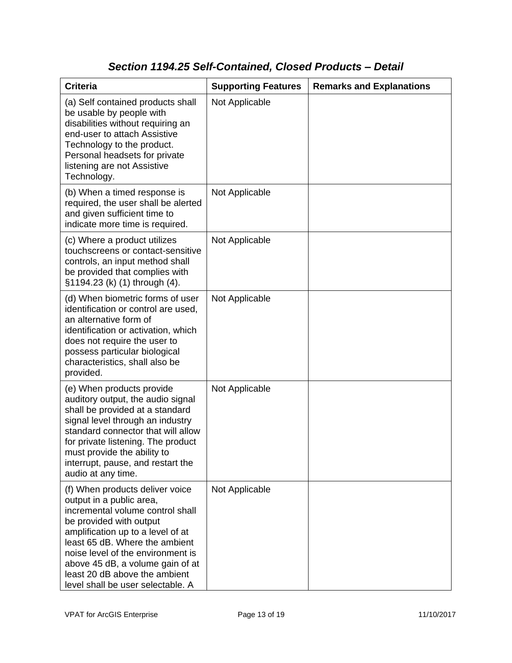## *Section 1194.25 Self-Contained, Closed Products – Detail*

| <b>Criteria</b>                                                                                                                                                                                                                                                                                                                                  | <b>Supporting Features</b> | <b>Remarks and Explanations</b> |
|--------------------------------------------------------------------------------------------------------------------------------------------------------------------------------------------------------------------------------------------------------------------------------------------------------------------------------------------------|----------------------------|---------------------------------|
| (a) Self contained products shall<br>be usable by people with<br>disabilities without requiring an<br>end-user to attach Assistive<br>Technology to the product.<br>Personal headsets for private<br>listening are not Assistive<br>Technology.                                                                                                  | Not Applicable             |                                 |
| (b) When a timed response is<br>required, the user shall be alerted<br>and given sufficient time to<br>indicate more time is required.                                                                                                                                                                                                           | Not Applicable             |                                 |
| (c) Where a product utilizes<br>touchscreens or contact-sensitive<br>controls, an input method shall<br>be provided that complies with<br>§1194.23 (k) (1) through (4).                                                                                                                                                                          | Not Applicable             |                                 |
| (d) When biometric forms of user<br>identification or control are used,<br>an alternative form of<br>identification or activation, which<br>does not require the user to<br>possess particular biological<br>characteristics, shall also be<br>provided.                                                                                         | Not Applicable             |                                 |
| (e) When products provide<br>auditory output, the audio signal<br>shall be provided at a standard<br>signal level through an industry<br>standard connector that will allow<br>for private listening. The product<br>must provide the ability to<br>interrupt, pause, and restart the<br>audio at any time.                                      | Not Applicable             |                                 |
| (f) When products deliver voice<br>output in a public area,<br>incremental volume control shall<br>be provided with output<br>amplification up to a level of at<br>least 65 dB. Where the ambient<br>noise level of the environment is<br>above 45 dB, a volume gain of at<br>least 20 dB above the ambient<br>level shall be user selectable. A | Not Applicable             |                                 |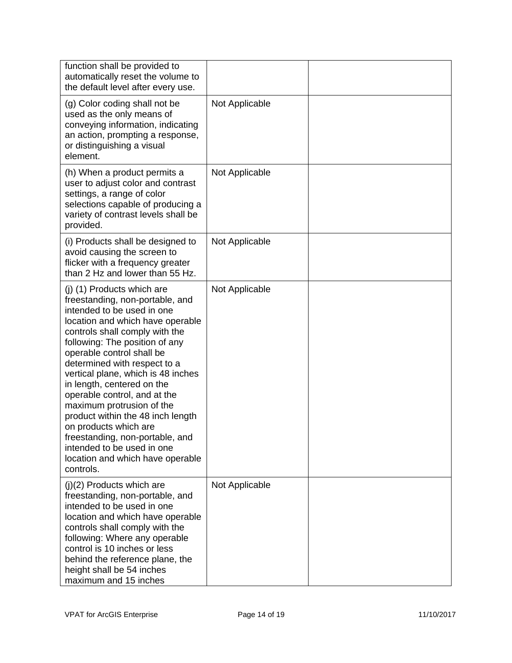| function shall be provided to<br>automatically reset the volume to<br>the default level after every use.                                                                                                                                                                                                                                                                                                                                                                                                                                                                          |                |  |
|-----------------------------------------------------------------------------------------------------------------------------------------------------------------------------------------------------------------------------------------------------------------------------------------------------------------------------------------------------------------------------------------------------------------------------------------------------------------------------------------------------------------------------------------------------------------------------------|----------------|--|
| (g) Color coding shall not be<br>used as the only means of<br>conveying information, indicating<br>an action, prompting a response,<br>or distinguishing a visual<br>element.                                                                                                                                                                                                                                                                                                                                                                                                     | Not Applicable |  |
| (h) When a product permits a<br>user to adjust color and contrast<br>settings, a range of color<br>selections capable of producing a<br>variety of contrast levels shall be<br>provided.                                                                                                                                                                                                                                                                                                                                                                                          | Not Applicable |  |
| (i) Products shall be designed to<br>avoid causing the screen to<br>flicker with a frequency greater<br>than 2 Hz and lower than 55 Hz.                                                                                                                                                                                                                                                                                                                                                                                                                                           | Not Applicable |  |
| (j) (1) Products which are<br>freestanding, non-portable, and<br>intended to be used in one<br>location and which have operable<br>controls shall comply with the<br>following: The position of any<br>operable control shall be<br>determined with respect to a<br>vertical plane, which is 48 inches<br>in length, centered on the<br>operable control, and at the<br>maximum protrusion of the<br>product within the 48 inch length<br>on products which are<br>freestanding, non-portable, and<br>intended to be used in one<br>location and which have operable<br>controls. | Not Applicable |  |
| $(j)(2)$ Products which are<br>freestanding, non-portable, and<br>intended to be used in one<br>location and which have operable<br>controls shall comply with the<br>following: Where any operable<br>control is 10 inches or less<br>behind the reference plane, the<br>height shall be 54 inches<br>maximum and 15 inches                                                                                                                                                                                                                                                      | Not Applicable |  |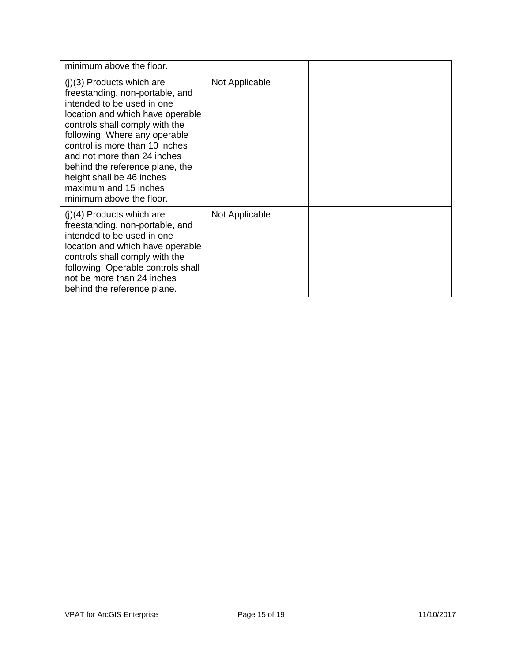| minimum above the floor.                                                                                                                                                                                                                                                                                                                                                                  |                |  |
|-------------------------------------------------------------------------------------------------------------------------------------------------------------------------------------------------------------------------------------------------------------------------------------------------------------------------------------------------------------------------------------------|----------------|--|
| $(j)(3)$ Products which are<br>freestanding, non-portable, and<br>intended to be used in one<br>location and which have operable<br>controls shall comply with the<br>following: Where any operable<br>control is more than 10 inches<br>and not more than 24 inches<br>behind the reference plane, the<br>height shall be 46 inches<br>maximum and 15 inches<br>minimum above the floor. | Not Applicable |  |
| $(j)(4)$ Products which are<br>freestanding, non-portable, and<br>intended to be used in one<br>location and which have operable<br>controls shall comply with the<br>following: Operable controls shall<br>not be more than 24 inches<br>behind the reference plane.                                                                                                                     | Not Applicable |  |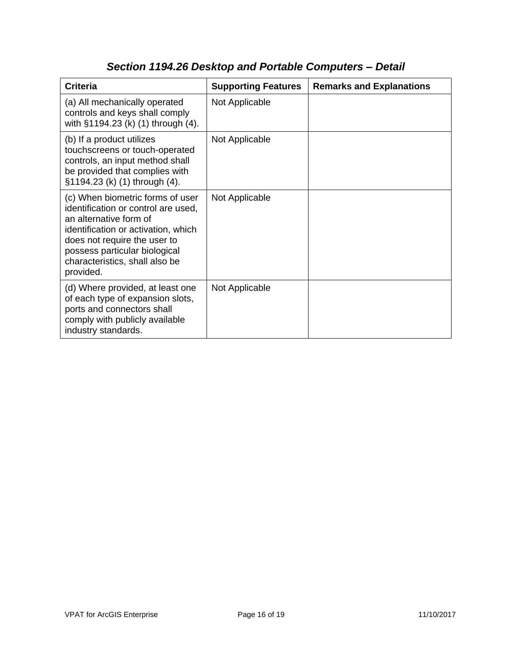| <b>Criteria</b>                                                                                                                                                                                                                                          | <b>Supporting Features</b> | <b>Remarks and Explanations</b> |
|----------------------------------------------------------------------------------------------------------------------------------------------------------------------------------------------------------------------------------------------------------|----------------------------|---------------------------------|
| (a) All mechanically operated<br>controls and keys shall comply<br>with §1194.23 (k) (1) through (4).                                                                                                                                                    | Not Applicable             |                                 |
| (b) If a product utilizes<br>touchscreens or touch-operated<br>controls, an input method shall<br>be provided that complies with<br>§1194.23 (k) (1) through (4).                                                                                        | Not Applicable             |                                 |
| (c) When biometric forms of user<br>identification or control are used,<br>an alternative form of<br>identification or activation, which<br>does not require the user to<br>possess particular biological<br>characteristics, shall also be<br>provided. | Not Applicable             |                                 |
| (d) Where provided, at least one<br>of each type of expansion slots,<br>ports and connectors shall<br>comply with publicly available<br>industry standards.                                                                                              | Not Applicable             |                                 |

# *Section 1194.26 Desktop and Portable Computers – Detail*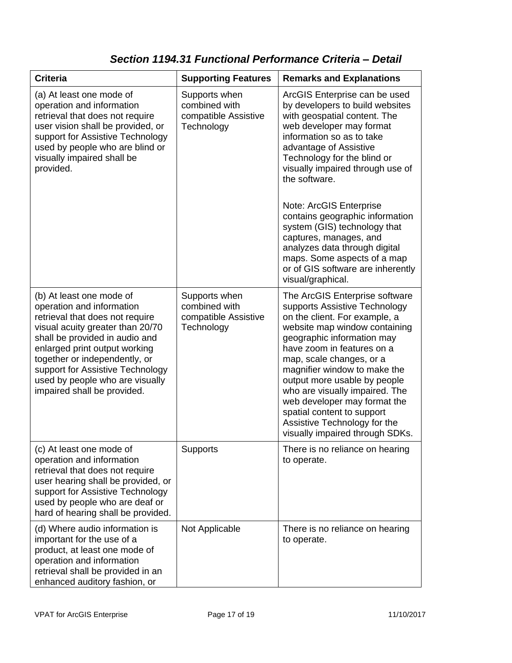### *Section 1194.31 Functional Performance Criteria – Detail*

| <b>Criteria</b>                                                                                                                                                                                                                                                                                                                        | <b>Supporting Features</b>                                           | <b>Remarks and Explanations</b>                                                                                                                                                                                                                                                                                                                                                                                                                                                                                           |
|----------------------------------------------------------------------------------------------------------------------------------------------------------------------------------------------------------------------------------------------------------------------------------------------------------------------------------------|----------------------------------------------------------------------|---------------------------------------------------------------------------------------------------------------------------------------------------------------------------------------------------------------------------------------------------------------------------------------------------------------------------------------------------------------------------------------------------------------------------------------------------------------------------------------------------------------------------|
| (a) At least one mode of<br>operation and information<br>retrieval that does not require<br>user vision shall be provided, or<br>support for Assistive Technology<br>used by people who are blind or<br>visually impaired shall be<br>provided.                                                                                        | Supports when<br>combined with<br>compatible Assistive<br>Technology | ArcGIS Enterprise can be used<br>by developers to build websites<br>with geospatial content. The<br>web developer may format<br>information so as to take<br>advantage of Assistive<br>Technology for the blind or<br>visually impaired through use of<br>the software.<br>Note: ArcGIS Enterprise<br>contains geographic information<br>system (GIS) technology that<br>captures, manages, and<br>analyzes data through digital<br>maps. Some aspects of a map<br>or of GIS software are inherently<br>visual/graphical. |
| (b) At least one mode of<br>operation and information<br>retrieval that does not require<br>visual acuity greater than 20/70<br>shall be provided in audio and<br>enlarged print output working<br>together or independently, or<br>support for Assistive Technology<br>used by people who are visually<br>impaired shall be provided. | Supports when<br>combined with<br>compatible Assistive<br>Technology | The ArcGIS Enterprise software<br>supports Assistive Technology<br>on the client. For example, a<br>website map window containing<br>geographic information may<br>have zoom in features on a<br>map, scale changes, or a<br>magnifier window to make the<br>output more usable by people<br>who are visually impaired. The<br>web developer may format the<br>spatial content to support<br>Assistive Technology for the<br>visually impaired through SDKs.                                                              |
| (c) At least one mode of<br>operation and information<br>retrieval that does not require<br>user hearing shall be provided, or<br>support for Assistive Technology<br>used by people who are deaf or<br>hard of hearing shall be provided.                                                                                             | <b>Supports</b>                                                      | There is no reliance on hearing<br>to operate.                                                                                                                                                                                                                                                                                                                                                                                                                                                                            |
| (d) Where audio information is<br>important for the use of a<br>product, at least one mode of<br>operation and information<br>retrieval shall be provided in an<br>enhanced auditory fashion, or                                                                                                                                       | Not Applicable                                                       | There is no reliance on hearing<br>to operate.                                                                                                                                                                                                                                                                                                                                                                                                                                                                            |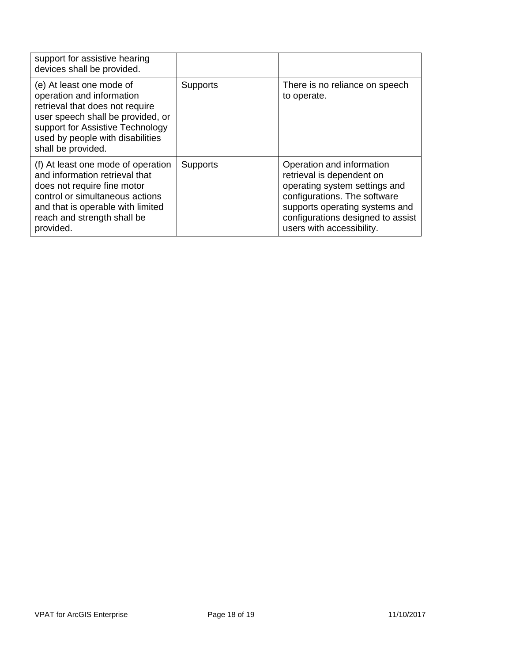| support for assistive hearing<br>devices shall be provided.                                                                                                                                                                 |                 |                                                                                                                                                                                                                             |
|-----------------------------------------------------------------------------------------------------------------------------------------------------------------------------------------------------------------------------|-----------------|-----------------------------------------------------------------------------------------------------------------------------------------------------------------------------------------------------------------------------|
| (e) At least one mode of<br>operation and information<br>retrieval that does not require<br>user speech shall be provided, or<br>support for Assistive Technology<br>used by people with disabilities<br>shall be provided. | <b>Supports</b> | There is no reliance on speech<br>to operate.                                                                                                                                                                               |
| (f) At least one mode of operation<br>and information retrieval that<br>does not require fine motor<br>control or simultaneous actions<br>and that is operable with limited<br>reach and strength shall be<br>provided.     | <b>Supports</b> | Operation and information<br>retrieval is dependent on<br>operating system settings and<br>configurations. The software<br>supports operating systems and<br>configurations designed to assist<br>users with accessibility. |